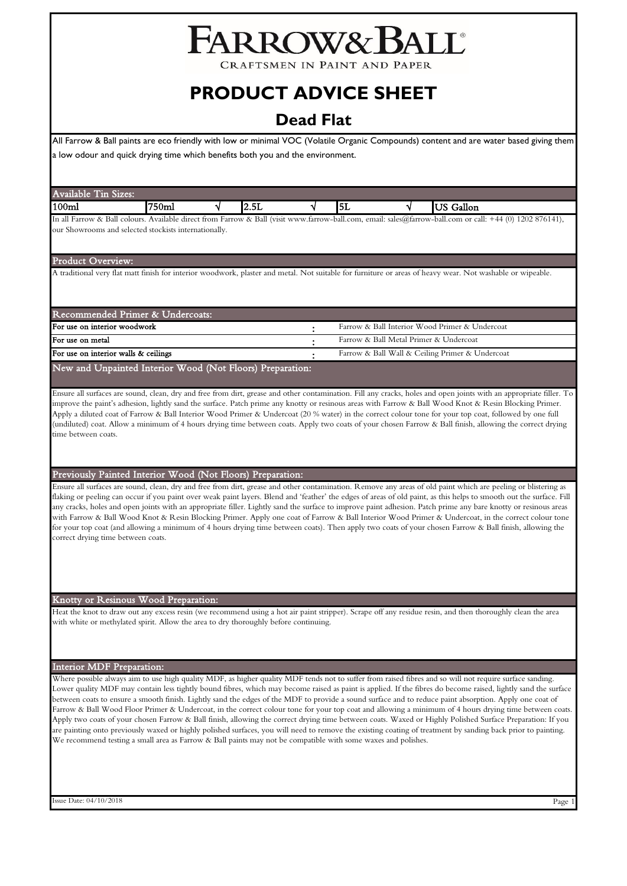# FARROW&BALL

**CRAFTSMEN IN PAINT AND PAPER** 

# **PRODUCT ADVICE SHEET**

# **Dead Flat**

All Farrow & Ball paints are eco friendly with low or minimal VOC (Volatile Organic Compounds) content and are water based giving them a low odour and quick drying time which benefits both you and the environment.

| Available<br>Sizes:<br>$\blacksquare$                |      |             |     |                                                                                                                                      |  |
|------------------------------------------------------|------|-------------|-----|--------------------------------------------------------------------------------------------------------------------------------------|--|
| 100ml                                                | 750m | --<br>IZ.5L | IJL | Gallon                                                                                                                               |  |
| $\mathbf{I}$ n all Farrauz $\mathbf{r}$ Rall colours |      |             |     | Available direct from Forrow $x \text{ Roll } ($ wit way for forow bell companie color arous bell companied $\pm 44$ (0) 1202.876141 |  |

m Farrow & Ball (visit www.farrow-ball.com, email: sales@farrow-ball.com or our Showrooms and selected stockists internationally.

### Product Overview:

A traditional very flat matt finish for interior woodwork, plaster and metal. Not suitable for furniture or areas of heavy wear. Not washable or wipeable.

| Recommended Primer & Undercoats:                          |  |                                                 |  |  |
|-----------------------------------------------------------|--|-------------------------------------------------|--|--|
| For use on interior woodwork                              |  | Farrow & Ball Interior Wood Primer & Undercoat  |  |  |
| For use on metal                                          |  | Farrow & Ball Metal Primer & Undercoat          |  |  |
| For use on interior walls & ceilings                      |  | Farrow & Ball Wall & Ceiling Primer & Undercoat |  |  |
| New and Unpainted Interior Wood (Not Floors) Preparation: |  |                                                 |  |  |

Ensure all surfaces are sound, clean, dry and free from dirt, grease and other contamination. Fill any cracks, holes and open joints with an appropriate filler. To improve the paint's adhesion, lightly sand the surface. Patch prime any knotty or resinous areas with Farrow & Ball Wood Knot & Resin Blocking Primer. Apply a diluted coat of Farrow & Ball Interior Wood Primer & Undercoat (20 % water) in the correct colour tone for your top coat, followed by one full (undiluted) coat. Allow a minimum of 4 hours drying time between coats. Apply two coats of your chosen Farrow & Ball finish, allowing the correct drying time between coats.

# Previously Painted Interior Wood (Not Floors) Preparation:

Ensure all surfaces are sound, clean, dry and free from dirt, grease and other contamination. Remove any areas of old paint which are peeling or blistering as flaking or peeling can occur if you paint over weak paint layers. Blend and 'feather' the edges of areas of old paint, as this helps to smooth out the surface. Fill any cracks, holes and open joints with an appropriate filler. Lightly sand the surface to improve paint adhesion. Patch prime any bare knotty or resinous areas with Farrow & Ball Wood Knot & Resin Blocking Primer. Apply one coat of Farrow & Ball Interior Wood Primer & Undercoat, in the correct colour tone for your top coat (and allowing a minimum of 4 hours drying time between coats). Then apply two coats of your chosen Farrow & Ball finish, allowing the correct drying time between coats.

# Knotty or Resinous Wood Preparation:

Heat the knot to draw out any excess resin (we recommend using a hot air paint stripper). Scrape off any residue resin, and then thoroughly clean the area with white or methylated spirit. Allow the area to dry thoroughly before continuing.

# Interior MDF Preparation:

Where possible always aim to use high quality MDF, as higher quality MDF tends not to suffer from raised fibres and so will not require surface sanding. Lower quality MDF may contain less tightly bound fibres, which may become raised as paint is applied. If the fibres do become raised, lightly sand the surface between coats to ensure a smooth finish. Lightly sand the edges of the MDF to provide a sound surface and to reduce paint absorption. Apply one coat of Farrow & Ball Wood Floor Primer & Undercoat, in the correct colour tone for your top coat and allowing a minimum of 4 hours drying time between coats. Apply two coats of your chosen Farrow & Ball finish, allowing the correct drying time between coats. Waxed or Highly Polished Surface Preparation: If you are painting onto previously waxed or highly polished surfaces, you will need to remove the existing coating of treatment by sanding back prior to painting. We recommend testing a small area as Farrow & Ball paints may not be compatible with some waxes and polishes.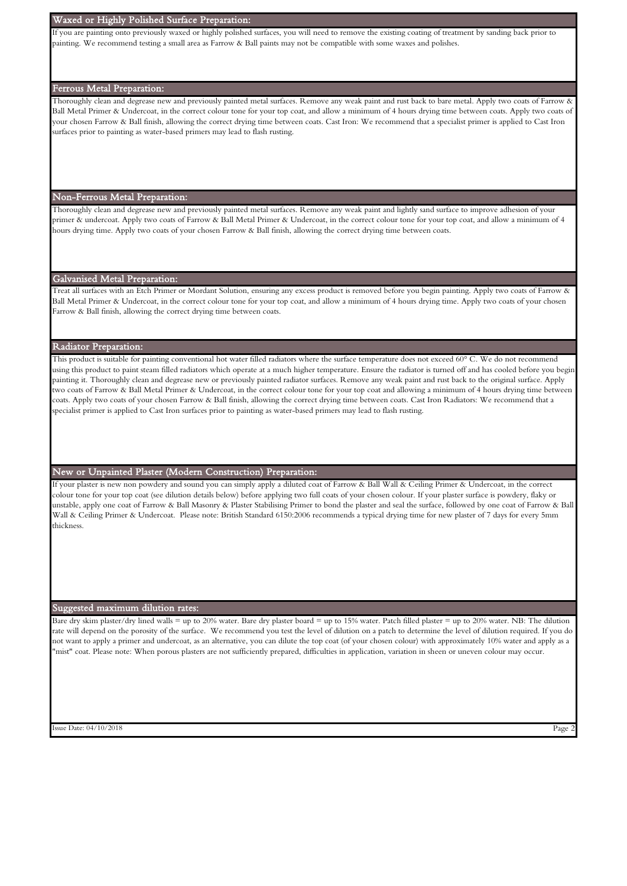# Waxed or Highly Polished Surface Preparation:

If you are painting onto previously waxed or highly polished surfaces, you will need to remove the existing coating of treatment by sanding back prior to painting. We recommend testing a small area as Farrow & Ball paints may not be compatible with some waxes and polishes.

# Ferrous Metal Preparation:

Thoroughly clean and degrease new and previously painted metal surfaces. Remove any weak paint and rust back to bare metal. Apply two coats of Farrow & Ball Metal Primer & Undercoat, in the correct colour tone for your top coat, and allow a minimum of 4 hours drying time between coats. Apply two coats of your chosen Farrow & Ball finish, allowing the correct drying time between coats. Cast Iron: We recommend that a specialist primer is applied to Cast Iron surfaces prior to painting as water-based primers may lead to flash rusting.

#### Non-Ferrous Metal Preparation:

Thoroughly clean and degrease new and previously painted metal surfaces. Remove any weak paint and lightly sand surface to improve adhesion of your primer & undercoat. Apply two coats of Farrow & Ball Metal Primer & Undercoat, in the correct colour tone for your top coat, and allow a minimum of 4 hours drying time. Apply two coats of your chosen Farrow & Ball finish, allowing the correct drying time between coats.

# Galvanised Metal Preparation:

Treat all surfaces with an Etch Primer or Mordant Solution, ensuring any excess product is removed before you begin painting. Apply two coats of Farrow & Ball Metal Primer & Undercoat, in the correct colour tone for your top coat, and allow a minimum of 4 hours drying time. Apply two coats of your chosen Farrow & Ball finish, allowing the correct drying time between coats.

# Radiator Preparation:

This product is suitable for painting conventional hot water filled radiators where the surface temperature does not exceed 60° C. We do not recommend using this product to paint steam filled radiators which operate at a much higher temperature. Ensure the radiator is turned off and has cooled before you begin painting it. Thoroughly clean and degrease new or previously painted radiator surfaces. Remove any weak paint and rust back to the original surface. Apply two coats of Farrow & Ball Metal Primer & Undercoat, in the correct colour tone for your top coat and allowing a minimum of 4 hours drying time between coats. Apply two coats of your chosen Farrow & Ball finish, allowing the correct drying time between coats. Cast Iron Radiators: We recommend that a specialist primer is applied to Cast Iron surfaces prior to painting as water-based primers may lead to flash rusting.

# New or Unpainted Plaster (Modern Construction) Preparation:

If your plaster is new non powdery and sound you can simply apply a diluted coat of Farrow & Ball Wall & Ceiling Primer & Undercoat, in the correct colour tone for your top coat (see dilution details below) before applying two full coats of your chosen colour. If your plaster surface is powdery, flaky or unstable, apply one coat of Farrow & Ball Masonry & Plaster Stabilising Primer to bond the plaster and seal the surface, followed by one coat of Farrow & Ball Wall & Ceiling Primer & Undercoat. Please note: British Standard 6150:2006 recommends a typical drying time for new plaster of 7 days for every 5mm thickness.

#### Suggested maximum dilution rates:

Bare dry skim plaster/dry lined walls = up to 20% water. Bare dry plaster board = up to 15% water. Patch filled plaster = up to 20% water. NB: The dilution rate will depend on the porosity of the surface. We recommend you test the level of dilution on a patch to determine the level of dilution required. If you do not want to apply a primer and undercoat, as an alternative, you can dilute the top coat (of your chosen colour) with approximately 10% water and apply as a "mist" coat. Please note: When porous plasters are not sufficiently prepared, difficulties in application, variation in sheen or uneven colour may occur.

Simulation of the Date: 04/10/2018 Page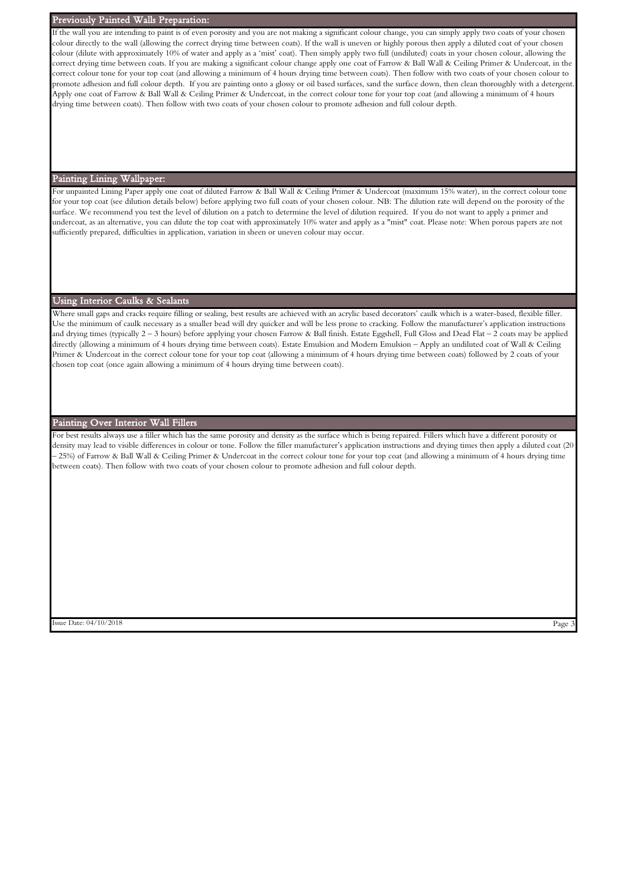#### Previously Painted Walls Preparation:

If the wall you are intending to paint is of even porosity and you are not making a significant colour change, you can simply apply two coats of your chosen colour directly to the wall (allowing the correct drying time between coats). If the wall is uneven or highly porous then apply a diluted coat of your chosen colour (dilute with approximately 10% of water and apply as a 'mist' coat). Then simply apply two full (undiluted) coats in your chosen colour, allowing the correct drying time between coats. If you are making a significant colour change apply one coat of Farrow & Ball Wall & Ceiling Primer & Undercoat, in the correct colour tone for your top coat (and allowing a minimum of 4 hours drying time between coats). Then follow with two coats of your chosen colour to promote adhesion and full colour depth. If you are painting onto a glossy or oil based surfaces, sand the surface down, then clean thoroughly with a detergent. Apply one coat of Farrow & Ball Wall & Ceiling Primer & Undercoat, in the correct colour tone for your top coat (and allowing a minimum of 4 hours drying time between coats). Then follow with two coats of your chosen colour to promote adhesion and full colour depth.

# Painting Lining Wallpaper:

For unpainted Lining Paper apply one coat of diluted Farrow & Ball Wall & Ceiling Primer & Undercoat (maximum 15% water), in the correct colour tone for your top coat (see dilution details below) before applying two full coats of your chosen colour. NB: The dilution rate will depend on the porosity of the surface. We recommend you test the level of dilution on a patch to determine the level of dilution required. If you do not want to apply a primer and undercoat, as an alternative, you can dilute the top coat with approximately 10% water and apply as a "mist" coat. Please note: When porous papers are not sufficiently prepared, difficulties in application, variation in sheen or uneven colour may occur.

#### Using Interior Caulks & Sealants

Where small gaps and cracks require filling or sealing, best results are achieved with an acrylic based decorators' caulk which is a water-based, flexible filler. Use the minimum of caulk necessary as a smaller bead will dry quicker and will be less prone to cracking. Follow the manufacturer's application instructions and drying times (typically 2 – 3 hours) before applying your chosen Farrow & Ball finish. Estate Eggshell, Full Gloss and Dead Flat – 2 coats may be applied directly (allowing a minimum of 4 hours drying time between coats). Estate Emulsion and Modern Emulsion – Apply an undiluted coat of Wall & Ceiling Primer & Undercoat in the correct colour tone for your top coat (allowing a minimum of 4 hours drying time between coats) followed by 2 coats of your chosen top coat (once again allowing a minimum of 4 hours drying time between coats).

### Painting Over Interior Wall Fillers

For best results always use a filler which has the same porosity and density as the surface which is being repaired. Fillers which have a different porosity or density may lead to visible differences in colour or tone. Follow the filler manufacturer's application instructions and drying times then apply a diluted coat (20 – 25%) of Farrow & Ball Wall & Ceiling Primer & Undercoat in the correct colour tone for your top coat (and allowing a minimum of 4 hours drying time between coats). Then follow with two coats of your chosen colour to promote adhesion and full colour depth.

Simulate: 04/10/2018 Page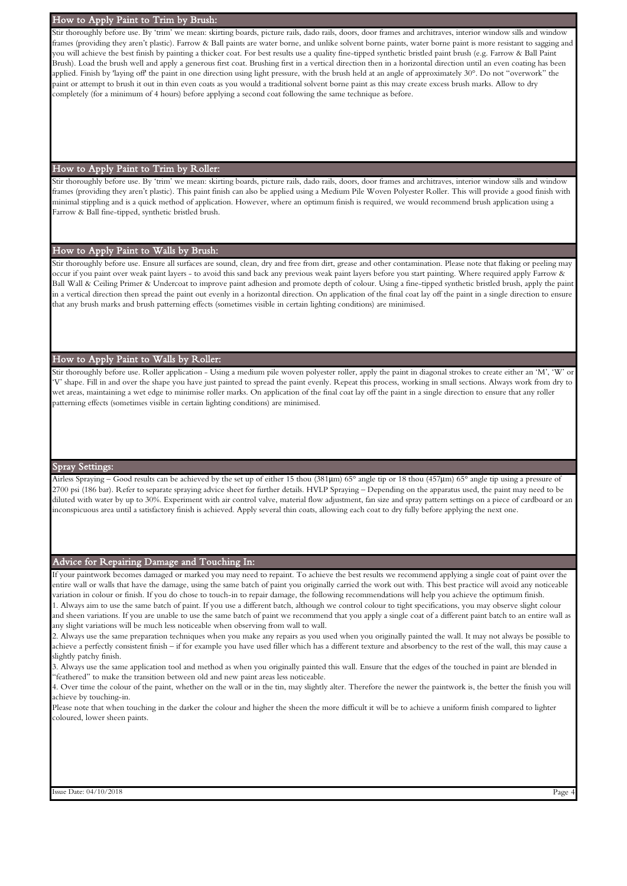#### How to Apply Paint to Trim by Brush:

Stir thoroughly before use. By 'trim' we mean: skirting boards, picture rails, dado rails, doors, door frames and architraves, interior window sills and window frames (providing they aren't plastic). Farrow & Ball paints are water borne, and unlike solvent borne paints, water borne paint is more resistant to sagging and you will achieve the best finish by painting a thicker coat. For best results use a quality fine-tipped synthetic bristled paint brush (e.g. Farrow & Ball Paint Brush). Load the brush well and apply a generous first coat. Brushing first in a vertical direction then in a horizontal direction until an even coating has been applied. Finish by 'laying off' the paint in one direction using light pressure, with the brush held at an angle of approximately 30°. Do not "overwork" the paint or attempt to brush it out in thin even coats as you would a traditional solvent borne paint as this may create excess brush marks. Allow to dry completely (for a minimum of 4 hours) before applying a second coat following the same technique as before.

#### How to Apply Paint to Trim by Roller:

Stir thoroughly before use. By 'trim' we mean: skirting boards, picture rails, dado rails, doors, door frames and architraves, interior window sills and window frames (providing they aren't plastic). This paint finish can also be applied using a Medium Pile Woven Polyester Roller. This will provide a good finish with minimal stippling and is a quick method of application. However, where an optimum finish is required, we would recommend brush application using a Farrow & Ball fine-tipped, synthetic bristled brush.

#### How to Apply Paint to Walls by Brush:

Stir thoroughly before use. Ensure all surfaces are sound, clean, dry and free from dirt, grease and other contamination. Please note that flaking or peeling may occur if you paint over weak paint layers - to avoid this sand back any previous weak paint layers before you start painting. Where required apply Farrow & Ball Wall & Ceiling Primer & Undercoat to improve paint adhesion and promote depth of colour. Using a fine-tipped synthetic bristled brush, apply the paint in a vertical direction then spread the paint out evenly in a horizontal direction. On application of the final coat lay off the paint in a single direction to ensure that any brush marks and brush patterning effects (sometimes visible in certain lighting conditions) are minimised.

# How to Apply Paint to Walls by Roller:

Stir thoroughly before use. Roller application - Using a medium pile woven polyester roller, apply the paint in diagonal strokes to create either an 'M', 'W' 'V' shape. Fill in and over the shape you have just painted to spread the paint evenly. Repeat this process, working in small sections. Always work from dry to wet areas, maintaining a wet edge to minimise roller marks. On application of the final coat lay off the paint in a single direction to ensure that any roller patterning effects (sometimes visible in certain lighting conditions) are minimised.

#### Spray Setting

Airless Spraying – Good results can be achieved by the set up of either 15 thou (381μm) 65° angle tip or 18 thou (457μm) 65° angle tip using a pressure of 2700 psi (186 bar). Refer to separate spraying advice sheet for further details. HVLP Spraying – Depending on the apparatus used, the paint may need to be diluted with water by up to 30%. Experiment with air control valve, material flow adjustment, fan size and spray pattern settings on a piece of cardboard or an inconspicuous area until a satisfactory finish is achieved. Apply several thin coats, allowing each coat to dry fully before applying the next one.

#### Advice for Repairing Damage and Touching In:

If your paintwork becomes damaged or marked you may need to repaint. To achieve the best results we recommend applying a single coat of paint over the entire wall or walls that have the damage, using the same batch of paint you originally carried the work out with. This best practice will avoid any noticeable variation in colour or finish. If you do chose to touch-in to repair damage, the following recommendations will help you achieve the optimum finish. 1. Always aim to use the same batch of paint. If you use a different batch, although we control colour to tight specifications, you may observe slight colour and sheen variations. If you are unable to use the same batch of paint we recommend that you apply a single coat of a different paint batch to an entire wall as any slight variations will be much less noticeable when observing from wall to wall.

2. Always use the same preparation techniques when you make any repairs as you used when you originally painted the wall. It may not always be possible to achieve a perfectly consistent finish – if for example you have used filler which has a different texture and absorbency to the rest of the wall, this may cause a slightly patchy finish.

3. Always use the same application tool and method as when you originally painted this wall. Ensure that the edges of the touched in paint are blended in "feathered" to make the transition between old and new paint areas less noticeable.

4. Over time the colour of the paint, whether on the wall or in the tin, may slightly alter. Therefore the newer the paintwork is, the better the finish you will achieve by touching-in.

Please note that when touching in the darker the colour and higher the sheen the more difficult it will be to achieve a uniform finish compared to lighter coloured, lower sheen paints.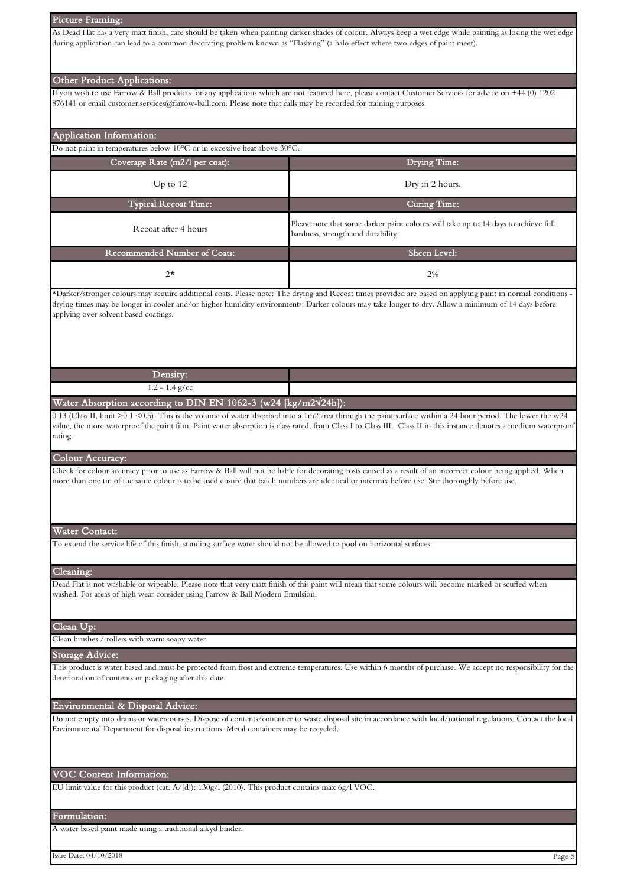#### Picture Framing:

As Dead Flat has a very matt finish, care should be taken when painting darker shades of colour. Always keep a wet edge while painting as losing the wet edge during application can lead to a common decorating problem known as "Flashing" (a halo effect where two edges of paint meet).

#### Other Product Applications:

If you wish to use Farrow & Ball products for any applications which are not featured here, please contact Customer Services for advice on +44 (0) 1202 876141 or email customer.services@farrow-ball.com. Please note that calls may be recorded for training purposes.

# Typical Recoat Time: Curing Time: Recoat after 4 hours Please note that some darker paint colours will take up to 14 days to achieve full hardness, strength and durability. Recommended Number of Coats: Coverage Rate (m2/l per coat): Drying Time: Up to 12 Dry in 2 hours. Application Information: Do not paint in temperatures below 10°C or in excessive heat above 30°C. Sheen Level:

\*Darker/stronger colours may require additional coats. Please note: The drying and Recoat times provided are based on applying paint in normal conditions drying times may be longer in cooler and/or higher humidity environments. Darker colours may take longer to dry. Allow a minimum of 14 days before applying over solvent based coatings.

2%

| $\Gamma$ ensity:                  |  |
|-----------------------------------|--|
| $\sqrt{2}$<br>g/cc<br>$1.2 - 1.4$ |  |

Water Absorption according to DIN EN 1062-3 (w24 [kg/m2√24h]):

2\*

0.13 (Class II, limit >0.1 <0.5). This is the volume of water absorbed into a 1m2 area through the paint surface within a 24 hour period. The lower the w24 value, the more waterproof the paint film. Paint water absorption is class rated, from Class I to Class III. Class II in this instance denotes a medium waterproof rating.

# Colour Accuracy:

Check for colour accuracy prior to use as Farrow & Ball will not be liable for decorating costs caused as a result of an incorrect colour being applied. When more than one tin of the same colour is to be used ensure that batch numbers are identical or intermix before use. Stir thoroughly before use.

#### Water Contact:

To extend the service life of this finish, standing surface water should not be allowed to pool on horizontal surfaces.

# Cleaning:

Dead Flat is not washable or wipeable. Please note that very matt finish of this paint will mean that some colours will become marked or scuffed when washed. For areas of high wear consider using Farrow & Ball Modern Emulsion.

#### Clean Up:

Clean brushes / rollers with warm soapy water.

#### Storage Advice:

This product is water based and must be protected from frost and extreme temperatures. Use within 6 months of purchase. We accept no responsibility for the deterioration of contents or packaging after this date.

#### Environmental & Disposal Advice:

Do not empty into drains or watercourses. Dispose of contents/container to waste disposal site in accordance with local/national regulations. Contact the local Environmental Department for disposal instructions. Metal containers may be recycled.

#### VOC Content Information:

EU limit value for this product (cat. A/[d]): 130g/l (2010). This product contains max 6g/l VOC.

#### Formulation:

A water based paint made using a traditional alkyd binder.

Issue Date: 04/10/2018 Page